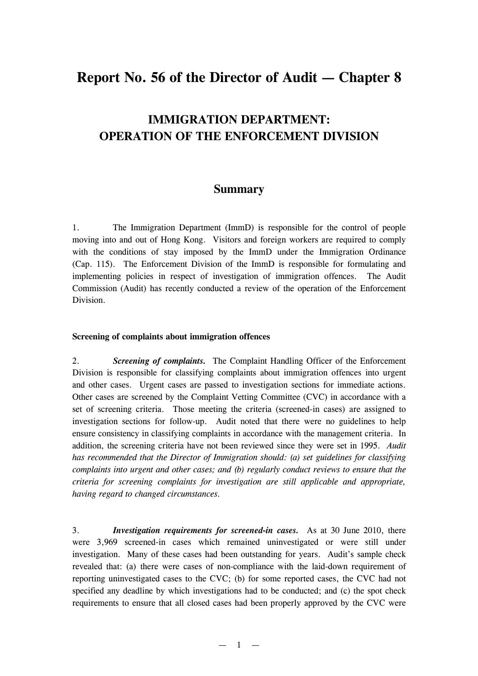# **Report No. 56 of the Director of Audit — Chapter 8**

# **IMMIGRATION DEPARTMENT: OPERATION OF THE ENFORCEMENT DIVISION**

# **Summary**

1. The Immigration Department (ImmD) is responsible for the control of people moving into and out of Hong Kong. Visitors and foreign workers are required to comply with the conditions of stay imposed by the ImmD under the Immigration Ordinance (Cap. 115). The Enforcement Division of the ImmD is responsible for formulating and implementing policies in respect of investigation of immigration offences. The Audit Commission (Audit) has recently conducted a review of the operation of the Enforcement Division.

#### **Screening of complaints about immigration offences**

2. *Screening of complaints.* The Complaint Handling Officer of the Enforcement Division is responsible for classifying complaints about immigration offences into urgent and other cases. Urgent cases are passed to investigation sections for immediate actions. Other cases are screened by the Complaint Vetting Committee (CVC) in accordance with a set of screening criteria. Those meeting the criteria (screened-in cases) are assigned to investigation sections for follow-up. Audit noted that there were no guidelines to help ensure consistency in classifying complaints in accordance with the management criteria. In addition, the screening criteria have not been reviewed since they were set in 1995. *Audit has recommended that the Director of Immigration should: (a) set guidelines for classifying complaints into urgent and other cases; and (b) regularly conduct reviews to ensure that the criteria for screening complaints for investigation are still applicable and appropriate, having regard to changed circumstances.*

3. *Investigation requirements for screened-in cases.* As at 30 June 2010, there were 3,969 screened-in cases which remained uninvestigated or were still under investigation. Many of these cases had been outstanding for years. Audit's sample check revealed that: (a) there were cases of non-compliance with the laid-down requirement of reporting uninvestigated cases to the CVC; (b) for some reported cases, the CVC had not specified any deadline by which investigations had to be conducted; and (c) the spot check requirements to ensure that all closed cases had been properly approved by the CVC were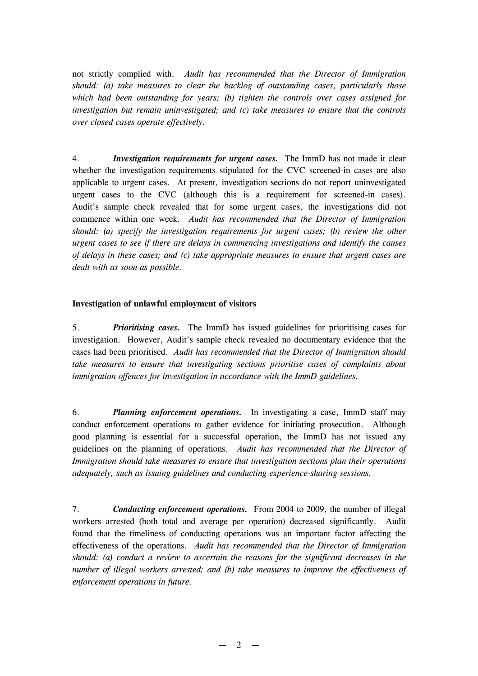not strictly complied with. *Audit has recommended that the Director of Immigration should: (a) take measures to clear the backlog of outstanding cases, particularly those which had been outstanding for years; (b) tighten the controls over cases assigned for investigation but remain uninvestigated; and (c) take measures to ensure that the controls over closed cases operate effectively.*

4. *Investigation requirements for urgent cases.* The ImmD has not made it clear whether the investigation requirements stipulated for the CVC screened-in cases are also applicable to urgent cases. At present, investigation sections do not report uninvestigated urgent cases to the CVC (although this is a requirement for screened-in cases). Audit's sample check revealed that for some urgent cases, the investigations did not commence within one week. *Audit has recommended that the Director of Immigration should: (a) specify the investigation requirements for urgent cases; (b) review the other urgent cases to see if there are delays in commencing investigations and identify the causes of delays in these cases; and (c) take appropriate measures to ensure that urgent cases are dealt with as soon as possible.*

## **Investigation of unlawful employment of visitors**

5. *Prioritising cases.* The ImmD has issued guidelines for prioritising cases for investigation. However, Audit's sample check revealed no documentary evidence that the cases had been prioritised. *Audit has recommended that the Director of Immigration should take measures to ensure that investigating sections prioritise cases of complaints about immigration offences for investigation in accordance with the ImmD guidelines.*

6. *Planning enforcement operations.* In investigating a case, ImmD staff may conduct enforcement operations to gather evidence for initiating prosecution. Although good planning is essential for a successful operation, the ImmD has not issued any guidelines on the planning of operations. *Audit has recommended that the Director of Immigration should take measures to ensure that investigation sections plan their operations adequately, such as issuing guidelines and conducting experience-sharing sessions.*

7. *Conducting enforcement operations.* From 2004 to 2009, the number of illegal workers arrested (both total and average per operation) decreased significantly. Audit found that the timeliness of conducting operations was an important factor affecting the effectiveness of the operations. *Audit has recommended that the Director of Immigration should: (a) conduct a review to ascertain the reasons for the significant decreases in the number of illegal workers arrested; and (b) take measures to improve the effectiveness of enforcement operations in future.*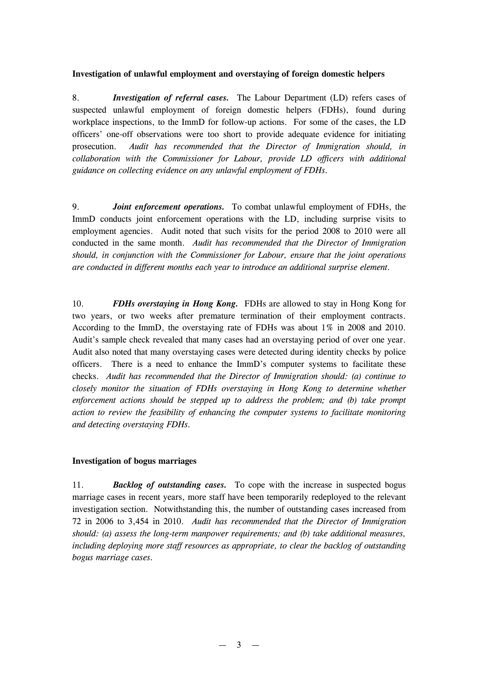## **Investigation of unlawful employment and overstaying of foreign domestic helpers**

8. *Investigation of referral cases.* The Labour Department (LD) refers cases of suspected unlawful employment of foreign domestic helpers (FDHs), found during workplace inspections, to the ImmD for follow-up actions. For some of the cases, the LD officers' one-off observations were too short to provide adequate evidence for initiating prosecution. *Audit has recommended that the Director of Immigration should, in collaboration with the Commissioner for Labour, provide LD officers with additional guidance on collecting evidence on any unlawful employment of FDHs.*

9. *Joint enforcement operations.* To combat unlawful employment of FDHs, the ImmD conducts joint enforcement operations with the LD, including surprise visits to employment agencies. Audit noted that such visits for the period 2008 to 2010 were all conducted in the same month. *Audit has recommended that the Director of Immigration should, in conjunction with the Commissioner for Labour, ensure that the joint operations are conducted in different months each year to introduce an additional surprise element.*

10. *FDHs overstaying in Hong Kong.* FDHs are allowed to stay in Hong Kong for two years, or two weeks after premature termination of their employment contracts. According to the ImmD, the overstaying rate of FDHs was about 1% in 2008 and 2010. Audit's sample check revealed that many cases had an overstaying period of over one year. Audit also noted that many overstaying cases were detected during identity checks by police officers. There is a need to enhance the ImmD's computer systems to facilitate these checks. *Audit has recommended that the Director of Immigration should: (a) continue to closely monitor the situation of FDHs overstaying in Hong Kong to determine whether enforcement actions should be stepped up to address the problem; and (b) take prompt action to review the feasibility of enhancing the computer systems to facilitate monitoring and detecting overstaying FDHs.*

#### **Investigation of bogus marriages**

11. *Backlog of outstanding cases.* To cope with the increase in suspected bogus marriage cases in recent years, more staff have been temporarily redeployed to the relevant investigation section. Notwithstanding this, the number of outstanding cases increased from 72 in 2006 to 3,454 in 2010. *Audit has recommended that the Director of Immigration should: (a) assess the long-term manpower requirements; and (b) take additional measures, including deploying more staff resources as appropriate, to clear the backlog of outstanding bogus marriage cases.*